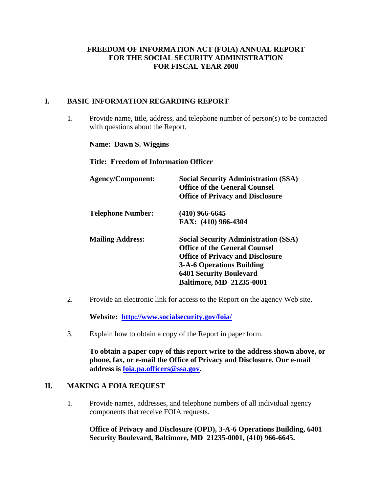#### **FREEDOM OF INFORMATION ACT (FOIA) ANNUAL REPORT FOR THE SOCIAL SECURITY ADMINISTRATION FOR FISCAL YEAR 2008**

#### **I. BASIC INFORMATION REGARDING REPORT**

1. Provide name, title, address, and telephone number of person(s) to be contacted with questions about the Report.

**Name: Dawn S. Wiggins** 

**Title: Freedom of Information Officer** 

| <b>Agency/Component:</b> | <b>Social Security Administration (SSA)</b><br><b>Office of the General Counsel</b><br><b>Office of Privacy and Disclosure</b>                                                                                                          |
|--------------------------|-----------------------------------------------------------------------------------------------------------------------------------------------------------------------------------------------------------------------------------------|
| <b>Telephone Number:</b> | $(410)$ 966-6645                                                                                                                                                                                                                        |
|                          | FAX: (410) 966-4304                                                                                                                                                                                                                     |
| <b>Mailing Address:</b>  | <b>Social Security Administration (SSA)</b><br><b>Office of the General Counsel</b><br><b>Office of Privacy and Disclosure</b><br><b>3-A-6 Operations Building</b><br><b>6401 Security Boulevard</b><br><b>Baltimore, MD 21235-0001</b> |

2. Provide an electronic link for access to the Report on the agency Web site.

**Website: http://www.socialsecurity.gov/foia/**

3. Explain how to obtain a copy of the Report in paper form.

**To obtain a paper copy of this report write to the address shown above, or phone, fax, or e-mail the Office of Privacy and Disclosure. Our e-mail address is foia.pa.officers@ssa.gov.** 

#### **II. MAKING A FOIA REQUEST**

1. Provide names, addresses, and telephone numbers of all individual agency components that receive FOIA requests.

 **Office of Privacy and Disclosure (OPD), 3-A-6 Operations Building, 6401 Security Boulevard, Baltimore, MD 21235-0001, (410) 966-6645.**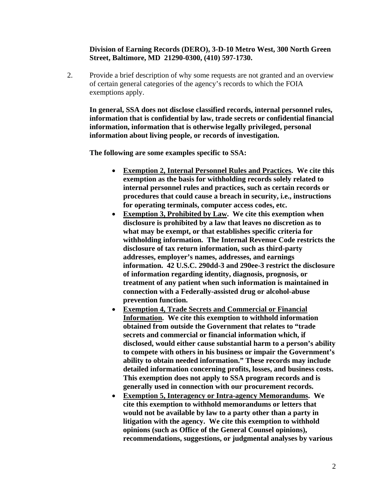#### **Division of Earning Records (DERO), 3-D-10 Metro West, 300 North Green Street, Baltimore, MD 21290-0300, (410) 597-1730.**

2. Provide a brief description of why some requests are not granted and an overview of certain general categories of the agency's records to which the FOIA exemptions apply.

**In general, SSA does not disclose classified records, internal personnel rules, information that is confidential by law, trade secrets or confidential financial information, information that is otherwise legally privileged, personal information about living people, or records of investigation.** 

 **The following are some examples specific to SSA:** 

- **Exemption 2, Internal Personnel Rules and Practices. We cite this exemption as the basis for withholding records solely related to internal personnel rules and practices, such as certain records or procedures that could cause a breach in security, i.e., instructions for operating terminals, computer access codes, etc.**
- **Exemption 3, Prohibited by Law. We cite this exemption when disclosure is prohibited by a law that leaves no discretion as to what may be exempt, or that establishes specific criteria for withholding information. The Internal Revenue Code restricts the disclosure of tax return information, such as third-party addresses, employer's names, addresses, and earnings information. 42 U.S.C. 290dd-3 and 290ee-3 restrict the disclosure of information regarding identity, diagnosis, prognosis, or treatment of any patient when such information is maintained in connection with a Federally-assisted drug or alcohol-abuse prevention function.**
- **Exemption 4, Trade Secrets and Commercial or Financial Information. We cite this exemption to withhold information obtained from outside the Government that relates to "trade secrets and commercial or financial information which, if disclosed, would either cause substantial harm to a person's ability to compete with others in his business or impair the Government's ability to obtain needed information." These records may include detailed information concerning profits, losses, and business costs. This exemption does not apply to SSA program records and is generally used in connection with our procurement records.**
- **Exemption 5, Interagency or Intra-agency Memorandums. We cite this exemption to withhold memorandums or letters that would not be available by law to a party other than a party in litigation with the agency. We cite this exemption to withhold opinions (such as Office of the General Counsel opinions), recommendations, suggestions, or judgmental analyses by various**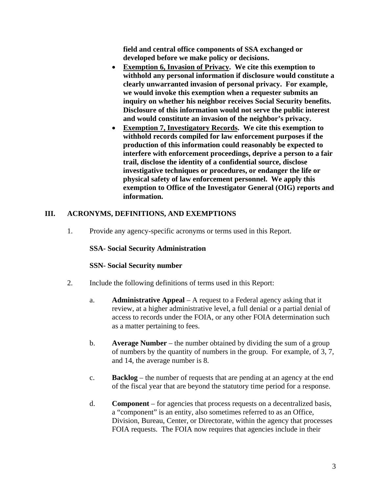**field and central office components of SSA exchanged or developed before we make policy or decisions.** 

- **Exemption 6, Invasion of Privacy. We cite this exemption to withhold any personal information if disclosure would constitute a clearly unwarranted invasion of personal privacy. For example, we would invoke this exemption when a requester submits an inquiry on whether his neighbor receives Social Security benefits. Disclosure of this information would not serve the public interest and would constitute an invasion of the neighbor's privacy.**
- **Exemption 7, Investigatory Records. We cite this exemption to withhold records compiled for law enforcement purposes if the production of this information could reasonably be expected to interfere with enforcement proceedings, deprive a person to a fair trail, disclose the identity of a confidential source, disclose investigative techniques or procedures, or endanger the life or physical safety of law enforcement personnel. We apply this exemption to Office of the Investigator General (OIG) reports and information.**

#### **III. ACRONYMS, DEFINITIONS, AND EXEMPTIONS**

1. Provide any agency-specific acronyms or terms used in this Report.

#### **SSA- Social Security Administration**

#### **SSN- Social Security number**

- 2. Include the following definitions of terms used in this Report:
	- a. **Administrative Appeal** A request to a Federal agency asking that it review, at a higher administrative level, a full denial or a partial denial of access to records under the FOIA, or any other FOIA determination such as a matter pertaining to fees.
	- b. **Average Number** the number obtained by dividing the sum of a group of numbers by the quantity of numbers in the group. For example, of 3, 7, and 14, the average number is 8.
	- c. **Backlog** the number of requests that are pending at an agency at the end of the fiscal year that are beyond the statutory time period for a response.
	- d. **Component** for agencies that process requests on a decentralized basis, a "component" is an entity, also sometimes referred to as an Office, Division, Bureau, Center, or Directorate, within the agency that processes FOIA requests. The FOIA now requires that agencies include in their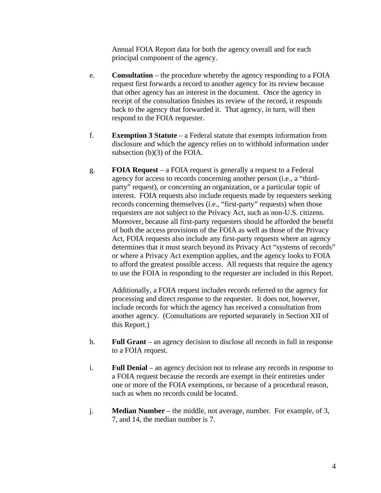Annual FOIA Report data for both the agency overall and for each principal component of the agency.

- e. **Consultation** the procedure whereby the agency responding to a FOIA request first forwards a record to another agency for its review because that other agency has an interest in the document. Once the agency in receipt of the consultation finishes its review of the record, it responds back to the agency that forwarded it. That agency, in turn, will then respond to the FOIA requester.
- f. **Exemption 3 Statute** a Federal statute that exempts information from disclosure and which the agency relies on to withhold information under subsection (b)(3) of the FOIA.
- g. **FOIA Request** a FOIA request is generally a request to a Federal agency for access to records concerning another person (i.e., a "thirdparty" request), or concerning an organization, or a particular topic of interest. FOIA requests also include requests made by requesters seeking records concerning themselves (i.e., "first-party" requests) when those requesters are not subject to the Privacy Act, such as non-U.S. citizens. Moreover, because all first-party requesters should be afforded the benefit of both the access provisions of the FOIA as well as those of the Privacy Act, FOIA requests also include any first-party requests where an agency determines that it must search beyond its Privacy Act "systems of records" or where a Privacy Act exemption applies, and the agency looks to FOIA to afford the greatest possible access. All requests that require the agency to use the FOIA in responding to the requester are included in this Report.

 Additionally, a FOIA request includes records referred to the agency for processing and direct response to the requester. It does not, however, include records for which the agency has received a consultation from another agency. (Consultations are reported separately in Section XII of this Report.)

- h. **Full Grant** an agency decision to disclose all records in full in response to a FOIA request.
- i. **Full Denial** an agency decision not to release any records in response to a FOIA request because the records are exempt in their entireties under one or more of the FOIA exemptions, or because of a procedural reason, such as when no records could be located.
- j. **Median Number** the middle, not average, number. For example, of 3, 7, and 14, the median number is 7.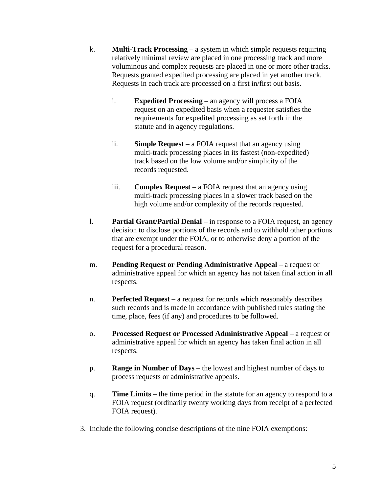- k. **Multi-Track Processing** a system in which simple requests requiring relatively minimal review are placed in one processing track and more voluminous and complex requests are placed in one or more other tracks. Requests granted expedited processing are placed in yet another track. Requests in each track are processed on a first in/first out basis.
	- i. **Expedited Processing** an agency will process a FOIA request on an expedited basis when a requester satisfies the requirements for expedited processing as set forth in the statute and in agency regulations.
	- ii. **Simple Request** a FOIA request that an agency using multi-track processing places in its fastest (non-expedited) track based on the low volume and/or simplicity of the records requested.
	- iii. **Complex Request** a FOIA request that an agency using multi-track processing places in a slower track based on the high volume and/or complexity of the records requested.
- l. **Partial Grant/Partial Denial** in response to a FOIA request, an agency decision to disclose portions of the records and to withhold other portions that are exempt under the FOIA, or to otherwise deny a portion of the request for a procedural reason.
- m. **Pending Request or Pending Administrative Appeal** a request or administrative appeal for which an agency has not taken final action in all respects.
- n. **Perfected Request** a request for records which reasonably describes such records and is made in accordance with published rules stating the time, place, fees (if any) and procedures to be followed.
- o. **Processed Request or Processed Administrative Appeal** a request or administrative appeal for which an agency has taken final action in all respects.
- p. **Range in Number of Days** the lowest and highest number of days to process requests or administrative appeals.
- q. **Time Limits** the time period in the statute for an agency to respond to a FOIA request (ordinarily twenty working days from receipt of a perfected FOIA request).
- 3. Include the following concise descriptions of the nine FOIA exemptions: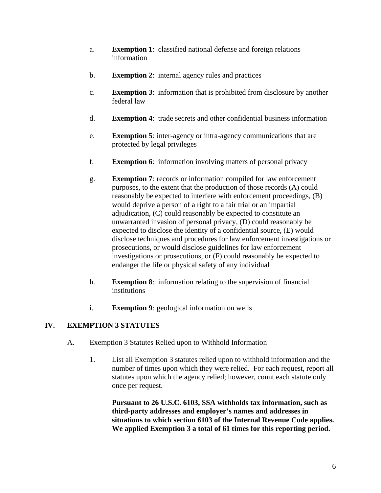- a. **Exemption 1**: classified national defense and foreign relations information
- b. **Exemption 2**: internal agency rules and practices
- c. **Exemption 3**: information that is prohibited from disclosure by another federal law
- d. **Exemption 4**: trade secrets and other confidential business information
- e. **Exemption 5**: inter-agency or intra-agency communications that are protected by legal privileges
- f. **Exemption 6**: information involving matters of personal privacy
- g. **Exemption 7**: records or information compiled for law enforcement purposes, to the extent that the production of those records (A) could reasonably be expected to interfere with enforcement proceedings, (B) would deprive a person of a right to a fair trial or an impartial adjudication, (C) could reasonably be expected to constitute an unwarranted invasion of personal privacy, (D) could reasonably be expected to disclose the identity of a confidential source, (E) would disclose techniques and procedures for law enforcement investigations or prosecutions, or would disclose guidelines for law enforcement investigations or prosecutions, or (F) could reasonably be expected to endanger the life or physical safety of any individual
- h. **Exemption 8**: information relating to the supervision of financial **institutions**
- i. **Exemption 9**: geological information on wells

#### **IV. EXEMPTION 3 STATUTES**

- A. Exemption 3 Statutes Relied upon to Withhold Information
	- 1. List all Exemption 3 statutes relied upon to withhold information and the number of times upon which they were relied. For each request, report all statutes upon which the agency relied; however, count each statute only once per request.

**Pursuant to 26 U.S.C. 6103, SSA withholds tax information, such as third-party addresses and employer's names and addresses in situations to which section 6103 of the Internal Revenue Code applies. We applied Exemption 3 a total of 61 times for this reporting period.**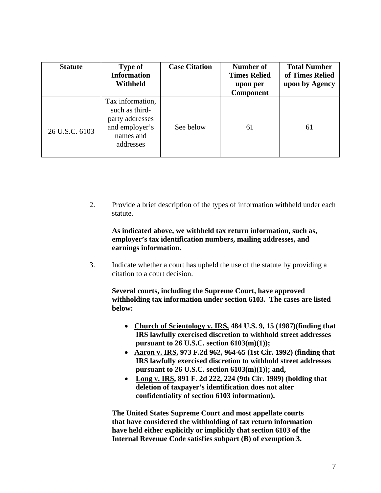| <b>Statute</b> | Type of<br><b>Information</b><br><b>Withheld</b>                                                  | <b>Case Citation</b> | Number of<br><b>Times Relied</b><br>upon per<br>Component | <b>Total Number</b><br>of Times Relied<br>upon by Agency |
|----------------|---------------------------------------------------------------------------------------------------|----------------------|-----------------------------------------------------------|----------------------------------------------------------|
| 26 U.S.C. 6103 | Tax information,<br>such as third-<br>party addresses<br>and employer's<br>names and<br>addresses | See below            | 61                                                        | 61                                                       |

2. Provide a brief description of the types of information withheld under each statute.

#### **As indicated above, we withheld tax return information, such as, employer's tax identification numbers, mailing addresses, and earnings information.**

3. Indicate whether a court has upheld the use of the statute by providing a citation to a court decision.

**Several courts, including the Supreme Court, have approved withholding tax information under section 6103. The cases are listed below:** 

- **Church of Scientology v. IRS, 484 U.S. 9, 15 (1987)(finding that IRS lawfully exercised discretion to withhold street addresses pursuant to 26 U.S.C. section 6103(m)(1));**
- **Aaron v. IRS, 973 F.2d 962, 964-65 (1st Cir. 1992) (finding that IRS lawfully exercised discretion to withhold street addresses pursuant to 26 U.S.C. section 6103(m)(1)); and,**
- • **Long v. IRS, 891 F. 2d 222, 224 (9th Cir. 1989) (holding that deletion of taxpayer's identification does not alter confidentiality of section 6103 information).**

 **The United States Supreme Court and most appellate courts that have considered the withholding of tax return information have held either explicitly or implicitly that section 6103 of the Internal Revenue Code satisfies subpart (B) of exemption 3.**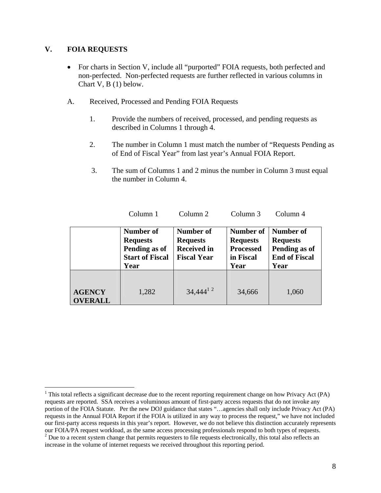#### **V. FOIA REQUESTS**

 $\overline{a}$ 

- For charts in Section V, include all "purported" FOIA requests, both perfected and non-perfected. Non-perfected requests are further reflected in various columns in Chart V, B (1) below.
- A. Received, Processed and Pending FOIA Requests
	- 1. Provide the numbers of received, processed, and pending requests as described in Columns 1 through 4.
	- 2. The number in Column 1 must match the number of "Requests Pending as of End of Fiscal Year" from last year's Annual FOIA Report.
	- 3. The sum of Columns 1 and 2 minus the number in Column 3 must equal the number in Column 4.

Column 1 Column 2 Column 3 Column 4

|                                | Number of<br><b>Requests</b><br>Pending as of<br><b>Start of Fiscal</b><br>Year | Number of<br><b>Requests</b><br><b>Received in</b><br><b>Fiscal Year</b> | Number of<br><b>Requests</b><br><b>Processed</b><br>in Fiscal<br>Year | Number of<br><b>Requests</b><br>Pending as of<br><b>End of Fiscal</b><br>Year |  |
|--------------------------------|---------------------------------------------------------------------------------|--------------------------------------------------------------------------|-----------------------------------------------------------------------|-------------------------------------------------------------------------------|--|
| <b>AGENCY</b><br><b>VERALL</b> | 1,282                                                                           | $34,444^{12}$                                                            | 34,666                                                                | 1,060                                                                         |  |

<sup>&</sup>lt;sup>1</sup> This total reflects a significant decrease due to the recent reporting requirement change on how Privacy Act (PA) requests are reported. SSA receives a voluminous amount of first-party access requests that do not invoke any portion of the FOIA Statute. Per the new DOJ guidance that states "…agencies shall only include Privacy Act (PA) requests in the Annual FOIA Report if the FOIA is utilized in any way to process the request," we have not included our first-party access requests in this year's report. However, we do not believe this distinction accurately represents our FOIA/PA request workload, as the same access processing professionals respond to both types of requests. 2 <sup>2</sup> Due to a recent system change that permits requesters to file requests electronically, this total also reflects an

increase in the volume of internet requests we received throughout this reporting period.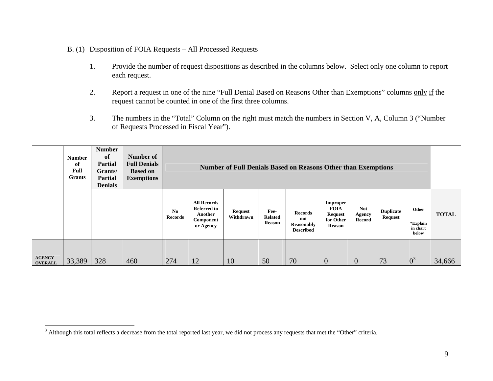#### B. (1) Disposition of FOIA Requests – All Processed Requests

- 1. Provide the number of request dispositions as described in the columns below. Select only one column to report each request.
- 2. Report a request in one of the nine "Full Denial Based on Reasons Other than Exemptions" columns only if the request cannot be counted in one of the first three columns.
- 3. The numbers in the "Total" Column on the right must match the numbers in Section V, A, Column 3 ("Number of Requests Processed in Fiscal Year").

|                                 | <b>Number</b><br>of<br>Full<br><b>Grants</b> | <b>Number</b><br>of<br><b>Partial</b><br>Grants/<br><b>Partial</b><br><b>Denials</b> | Number of<br><b>Full Denials</b><br><b>Based on</b><br><b>Exemptions</b> |               | <b>Number of Full Denials Based on Reasons Other than Exemptions</b>          |                             |                                         |                                                         |                                                                         |                                |                                    |                                        |              |
|---------------------------------|----------------------------------------------|--------------------------------------------------------------------------------------|--------------------------------------------------------------------------|---------------|-------------------------------------------------------------------------------|-----------------------------|-----------------------------------------|---------------------------------------------------------|-------------------------------------------------------------------------|--------------------------------|------------------------------------|----------------------------------------|--------------|
|                                 |                                              |                                                                                      |                                                                          | No<br>Records | <b>All Records</b><br><b>Referred to</b><br>Another<br>Component<br>or Agency | <b>Request</b><br>Withdrawn | Fee-<br><b>Related</b><br><b>Reason</b> | <b>Records</b><br>not<br>Reasonably<br><b>Described</b> | Improper<br><b>FOIA</b><br><b>Request</b><br>for Other<br><b>Reason</b> | <b>Not</b><br>Agency<br>Record | <b>Duplicate</b><br><b>Request</b> | Other<br>*Explain<br>in chart<br>below | <b>TOTAL</b> |
| <b>AGENCY</b><br><b>OVERALL</b> | 33,389                                       | 328                                                                                  | 460                                                                      | 274           | 12                                                                            | 10                          | 50                                      | 70                                                      | $\theta$                                                                | $\overline{0}$                 | 73                                 | $0^3$                                  | 34,666       |

<sup>&</sup>lt;sup>3</sup> Although this total reflects a decrease from the total reported last year, we did not process any requests that met the "Other" criteria.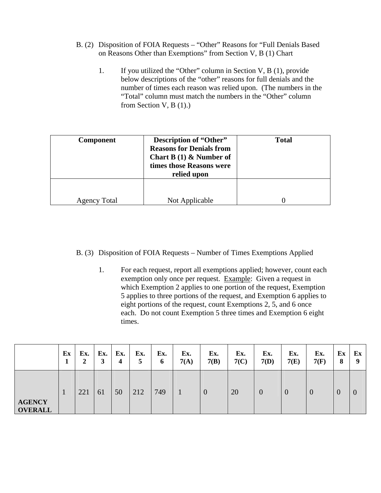- B. (2) Disposition of FOIA Requests "Other" Reasons for "Full Denials Based on Reasons Other than Exemptions" from Section V, B (1) Chart
	- 1. If you utilized the "Other" column in Section V, B (1), provide below descriptions of the "other" reasons for full denials and the number of times each reason was relied upon. (The numbers in the "Total" column must match the numbers in the "Other" column from Section V,  $B(1)$ .)

| <b>Component</b>    | Description of "Other"<br><b>Reasons for Denials from</b><br><b>Chart B</b> (1) $\&$ Number of<br>times those Reasons were<br>relied upon | <b>Total</b> |
|---------------------|-------------------------------------------------------------------------------------------------------------------------------------------|--------------|
| <b>Agency Total</b> | Not Applicable                                                                                                                            | 0            |

#### B. (3) Disposition of FOIA Requests – Number of Times Exemptions Applied

1. For each request, report all exemptions applied; however, count each exemption only once per request. Example: Given a request in which Exemption 2 applies to one portion of the request, Exemption 5 applies to three portions of the request, and Exemption 6 applies to eight portions of the request, count Exemptions 2, 5, and 6 once each. Do not count Exemption 5 three times and Exemption 6 eight times.

|                                 | Ex | Ex.<br>◠<br>$\overline{ }$ | Ex.<br>3 | Ex.<br>4 | Ex.<br>5 | Ex.<br>6 | Ex.<br>7(A) | Ex.<br>7(B)      | Ex.<br>7(C) | Ex.<br>7(D)    | Ex.<br>7(E) | Ex.<br>7(F) | Ex<br>8 | Ex<br>Q  |
|---------------------------------|----|----------------------------|----------|----------|----------|----------|-------------|------------------|-------------|----------------|-------------|-------------|---------|----------|
| <b>AGENCY</b><br><b>OVERALL</b> |    | 221                        | 61       | 50       | 212      | 749      |             | $\boldsymbol{0}$ | 20          | $\overline{0}$ | $\theta$    | $\theta$    | U       | $\theta$ |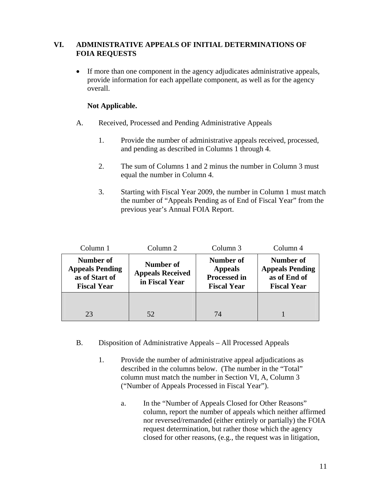#### **VI. ADMINISTRATIVE APPEALS OF INITIAL DETERMINATIONS OF FOIA REQUESTS**

• If more than one component in the agency adjudicates administrative appeals, provide information for each appellate component, as well as for the agency overall.

#### **Not Applicable.**

- A. Received, Processed and Pending Administrative Appeals
	- 1. Provide the number of administrative appeals received, processed, and pending as described in Columns 1 through 4.
	- 2. The sum of Columns 1 and 2 minus the number in Column 3 must equal the number in Column 4.
	- 3. Starting with Fiscal Year 2009, the number in Column 1 must match the number of "Appeals Pending as of End of Fiscal Year" from the previous year's Annual FOIA Report.

| Column 1                                                                    | Column 2                                               | Column 3                                                                        | Column 4                                                                  |  |  |
|-----------------------------------------------------------------------------|--------------------------------------------------------|---------------------------------------------------------------------------------|---------------------------------------------------------------------------|--|--|
| Number of<br><b>Appeals Pending</b><br>as of Start of<br><b>Fiscal Year</b> | Number of<br><b>Appeals Received</b><br>in Fiscal Year | <b>Number of</b><br><b>Appeals</b><br><b>Processed in</b><br><b>Fiscal Year</b> | Number of<br><b>Appeals Pending</b><br>as of End of<br><b>Fiscal Year</b> |  |  |
| 23                                                                          | 52                                                     | 74                                                                              |                                                                           |  |  |

- B. Disposition of Administrative Appeals All Processed Appeals
	- 1. Provide the number of administrative appeal adjudications as described in the columns below. (The number in the "Total" column must match the number in Section VI, A, Column 3 ("Number of Appeals Processed in Fiscal Year").
		- a. In the "Number of Appeals Closed for Other Reasons" column, report the number of appeals which neither affirmed nor reversed/remanded (either entirely or partially) the FOIA request determination, but rather those which the agency closed for other reasons, (e.g., the request was in litigation,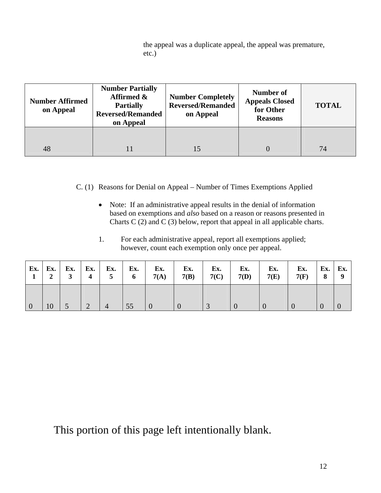the appeal was a duplicate appeal, the appeal was premature, etc.)

| <b>Number Affirmed</b><br>on Appeal | <b>Number Partially</b><br>Affirmed &<br><b>Partially</b><br><b>Reversed/Remanded</b><br>on Appeal | <b>Number Completely</b><br><b>Reversed/Remanded</b><br>on Appeal | <b>Number of</b><br><b>Appeals Closed</b><br>for Other<br><b>Reasons</b> | <b>TOTAL</b> |
|-------------------------------------|----------------------------------------------------------------------------------------------------|-------------------------------------------------------------------|--------------------------------------------------------------------------|--------------|
| 48                                  |                                                                                                    |                                                                   |                                                                          | 74           |

C. (1) Reasons for Denial on Appeal – Number of Times Exemptions Applied

- Note: If an administrative appeal results in the denial of information based on exemptions and *also* based on a reason or reasons presented in Charts C (2) and C (3) below, report that appeal in all applicable charts.
- 1. For each administrative appeal, report all exemptions applied; however, count each exemption only once per appeal.

| $\overline{\mathbf{2}}$ | 3 <sup>1</sup> | $\frac{1}{2}$ 4 $\frac{1}{2}$ | 5 <sup>5</sup> | $\blacksquare$ 6 $\blacksquare$ | $\mathbf{Ex.}$   Ex.   Ex.   Ex.   Ex.   Ex.   Ex.  <br>7(A) | Ex.<br>7(B) | Ex.<br>7(C) | Ex.<br>7(D) | Ex.<br>7(E) | Ex.<br>7(F) | $\mathbf{E} \mathbf{x}$ . Ex.<br>89 |  |
|-------------------------|----------------|-------------------------------|----------------|---------------------------------|--------------------------------------------------------------|-------------|-------------|-------------|-------------|-------------|-------------------------------------|--|
| 10                      |                | $\sqrt{2}$                    | $\overline{4}$ | $\vert 55 \vert$                |                                                              |             |             |             |             |             |                                     |  |

This portion of this page left intentionally blank.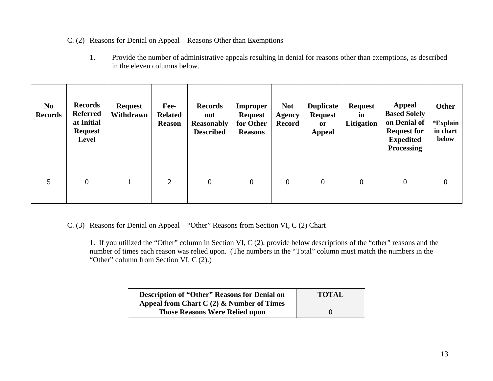#### C. (2) Reasons for Denial on Appeal – Reasons Other than Exemptions

1. Provide the number of administrative appeals resulting in denial for reasons other than exemptions, as described in the eleven columns below.

| N <sub>0</sub><br><b>Records</b> | <b>Records</b><br><b>Referred</b><br>at Initial<br><b>Request</b><br><b>Level</b> | <b>Request</b><br>Withdrawn | Fee-<br><b>Related</b><br><b>Reason</b> | <b>Records</b><br>not<br><b>Reasonably</b><br><b>Described</b> | <b>Improper</b><br><b>Request</b><br>for Other<br><b>Reasons</b> | <b>Not</b><br><b>Agency</b><br><b>Record</b> | <b>Duplicate</b><br><b>Request</b><br><sub>or</sub><br><b>Appeal</b> | <b>Request</b><br>in<br>Litigation | Appeal<br><b>Based Solely</b><br>on Denial of<br><b>Request for</b><br><b>Expedited</b><br><b>Processing</b> | Other<br>*Explain<br>in chart<br>below |
|----------------------------------|-----------------------------------------------------------------------------------|-----------------------------|-----------------------------------------|----------------------------------------------------------------|------------------------------------------------------------------|----------------------------------------------|----------------------------------------------------------------------|------------------------------------|--------------------------------------------------------------------------------------------------------------|----------------------------------------|
| 5                                | $\overline{0}$                                                                    |                             | $\overline{2}$                          | $\overline{0}$                                                 | $\boldsymbol{0}$                                                 | $\overline{0}$                               | $\overline{0}$                                                       | $\overline{0}$                     | $\overline{0}$                                                                                               | $\overline{0}$                         |

C. (3) Reasons for Denial on Appeal – "Other" Reasons from Section VI, C (2) Chart

 1. If you utilized the "Other" column in Section VI, C (2), provide below descriptions of the "other" reasons and the number of times each reason was relied upon. (The numbers in the "Total" column must match the numbers in the "Other" column from Section VI, C (2).)

| <b>Description of "Other" Reasons for Denial on</b> | <b>TOTAL</b> |
|-----------------------------------------------------|--------------|
| Appeal from Chart C $(2)$ & Number of Times         |              |
| <b>Those Reasons Were Relied upon</b>               |              |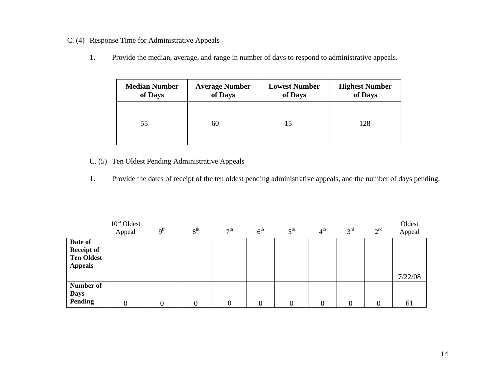- C. (4) Response Time for Administrative Appeals
	- 1. Provide the median, average, and range in number of days to respond to administrative appeals.

| <b>Median Number</b> | <b>Average Number</b> | <b>Lowest Number</b> | <b>Highest Number</b> |
|----------------------|-----------------------|----------------------|-----------------------|
| of Days              | of Days               | of Days              | of Days               |
| 55                   | 60                    | 15                   | 128                   |

### C. (5) Ten Oldest Pending Administrative Appeals

1. Provide the dates of receipt of the ten oldest pending administrative appeals, and the number of days pending.

|                                                                     | $10th$ Oldest<br>Appeal | 9 <sup>th</sup> | 8 <sup>th</sup> | 7 <sup>th</sup> | 6 <sup>th</sup> | $5^{\text{th}}$ | $4^{\rm th}$ | 3 <sup>rd</sup> | 2 <sup>nd</sup> | Oldest<br>Appeal |
|---------------------------------------------------------------------|-------------------------|-----------------|-----------------|-----------------|-----------------|-----------------|--------------|-----------------|-----------------|------------------|
| Date of<br><b>Receipt of</b><br><b>Ten Oldest</b><br><b>Appeals</b> |                         |                 |                 |                 |                 |                 |              |                 |                 | 7/22/08          |
| Number of<br><b>Days</b><br><b>Pending</b>                          | $\overline{0}$          |                 |                 | $\Omega$        | $\overline{0}$  | 0               |              |                 | $\Omega$        | 61               |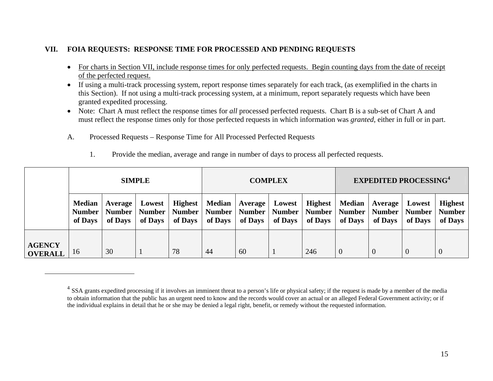#### **VII.FOIA REQUESTS: RESPONSE TIME FOR PROCESSED AND PENDING REQUESTS**

- For charts in Section VII, include response times for only perfected requests. Begin counting days from the date of receipt of the perfected request.
- If using a multi-track processing system, report response times separately for each track, (as exemplified in the charts in this Section). If not using a multi-track processing system, at a minimum, report separately requests which have been granted expedited processing.
- Note: Chart A must reflect the response times for *all* processed perfected requests. Chart B is a sub-set of Chart A and must reflect the response times only for those perfected requests in which information was *granted*, either in full or in part.
- A.Processed Requests – Response Time for All Processed Perfected Requests

|                                 | <b>SIMPLE</b>                             |                                |                                    | <b>COMPLEX</b>                        |         |                               |                   | <b>EXPEDITED PROCESSING4</b>                                                       |                     |                    |                                    |                                            |
|---------------------------------|-------------------------------------------|--------------------------------|------------------------------------|---------------------------------------|---------|-------------------------------|-------------------|------------------------------------------------------------------------------------|---------------------|--------------------|------------------------------------|--------------------------------------------|
|                                 | <b>Median</b><br><b>Number</b><br>of Days | Average<br>Number  <br>of Days | Lowest<br><b>Number</b><br>of Days | <b>Highest</b><br>Number  <br>of Days | of Days | Median   Average  <br>of Days | Lowest<br>of Days | <b>Highest</b><br>Number   Number   Number   Number   Number   Number  <br>of Days | Median  <br>of Days | Average<br>of Days | Lowest<br><b>Number</b><br>of Days | <b>Highest</b><br><b>Number</b><br>of Days |
| <b>AGENCY</b><br><b>OVERALL</b> | 16                                        | 30                             |                                    | 78                                    | 44      | 60                            |                   | 246                                                                                | $\Omega$            |                    | $\theta$                           | $\overline{0}$                             |

1. Provide the median, average and range in number of days to process all perfected requests.

 $4$  SSA grants expedited processing if it involves an imminent threat to a person's life or physical safety; if the request is made by a member of the media to obtain information that the public has an urgent need to know and the records would cover an actual or an alleged Federal Government activity; or if the individual explains in detail that he or she may be denied a legal right, benefit, or remedy without the requested information.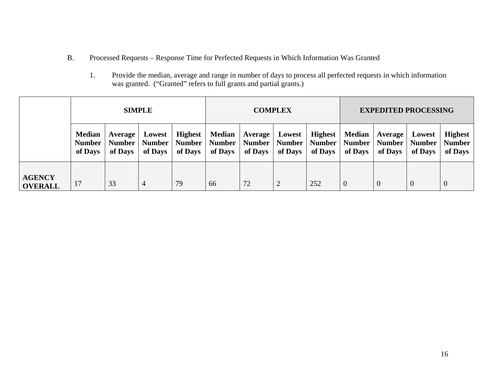- B. Processed Requests – Response Time for Perfected Requests in Which Information Was Granted
	- 1. Provide the median, average and range in number of days to process all perfected requests in which information was granted. ("Granted" refers to full grants and partial grants.)

|                                 | <b>SIMPLE</b>                             |                                     |                                    | <b>COMPLEX</b>                             |                                           |                                     |                               | <b>EXPEDITED PROCESSING</b>                |                                           |                                     |                                    |                                            |
|---------------------------------|-------------------------------------------|-------------------------------------|------------------------------------|--------------------------------------------|-------------------------------------------|-------------------------------------|-------------------------------|--------------------------------------------|-------------------------------------------|-------------------------------------|------------------------------------|--------------------------------------------|
|                                 | <b>Median</b><br><b>Number</b><br>of Days | Average<br><b>Number</b><br>of Days | Lowest<br><b>Number</b><br>of Days | <b>Highest</b><br><b>Number</b><br>of Days | <b>Median</b><br><b>Number</b><br>of Days | Average<br><b>Number</b><br>of Days | Lowest<br>Number  <br>of Days | <b>Highest</b><br><b>Number</b><br>of Days | <b>Median</b><br><b>Number</b><br>of Days | Average<br><b>Number</b><br>of Days | Lowest<br><b>Number</b><br>of Days | <b>Highest</b><br><b>Number</b><br>of Days |
| <b>AGENCY</b><br><b>OVERALL</b> |                                           | 33                                  | $\overline{4}$                     | 79                                         | 66                                        | 72                                  | 2                             | 252                                        | $\overline{0}$                            |                                     | $\theta$                           | $\theta$                                   |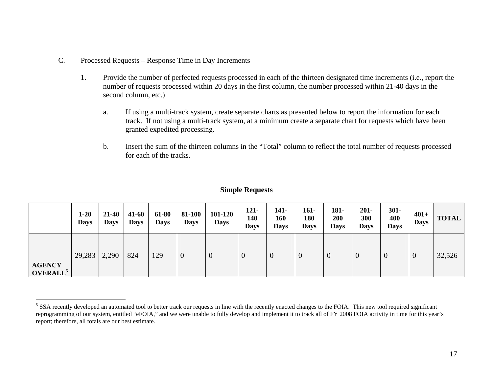- C. Processed Requests Response Time in Day Increments
	- 1. Provide the number of perfected requests processed in each of the thirteen designated time increments (i.e., report the number of requests processed within 20 days in the first column, the number processed within 21-40 days in the second column, etc.)
		- a. If using a multi-track system, create separate charts as presented below to report the information for each track. If not using a multi-track system, at a minimum create a separate chart for requests which have been granted expedited processing.
		- b. Insert the sum of the thirteen columns in the "Total" column to reflect the total number of requests processed for each of the tracks.

#### **Simple Requests**

|                                       | $1 - 20$<br><b>Days</b> | $21 - 40$<br><b>Days</b> | 41-60<br><b>Days</b> | 61-80<br><b>Days</b> | 81-100<br><b>Days</b> | 101-120<br><b>Days</b> | $121 -$<br>140<br><b>Days</b> | 141-<br>160<br><b>Days</b> | $161 -$<br>180<br><b>Days</b> | 181-<br>200<br><b>Days</b> | $201 -$<br>300<br><b>Days</b> | $301 -$<br>400<br><b>Days</b> | $401+$<br><b>Days</b> | <b>TOTAL</b> |
|---------------------------------------|-------------------------|--------------------------|----------------------|----------------------|-----------------------|------------------------|-------------------------------|----------------------------|-------------------------------|----------------------------|-------------------------------|-------------------------------|-----------------------|--------------|
| <b>AGENCY</b><br>OVERALL <sup>5</sup> | 29,283                  | 2,290                    | 824                  | 129                  | $\overline{0}$        | 0                      | $\overline{0}$                | $\theta$                   | $\boldsymbol{0}$              | 0                          | $\boldsymbol{0}$              | $\bf{0}$                      | $\boldsymbol{0}$      | 32,526       |

<sup>&</sup>lt;sup>5</sup> SSA recently developed an automated tool to better track our requests in line with the recently enacted changes to the FOIA. This new tool required significant reprogramming of our system, entitled "eFOIA," and we were unable to fully develop and implement it to track all of FY 2008 FOIA activity in time for this year's report; therefore, all totals are our best estimate.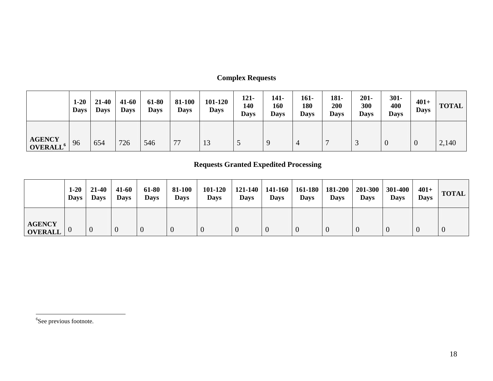### **Complex Requests**

|                                             | $1-20$<br><b>Days</b> | $21 - 40$<br><b>Days</b> | $41 - 60$<br><b>Days</b> | 61-80<br><b>Days</b> | 81-100<br><b>Days</b> | 101-120<br><b>Days</b> | $121 -$<br>140<br><b>Days</b> | 141-<br>160<br><b>Days</b> | 161-<br>180<br><b>Days</b> | 181-<br>200<br><b>Days</b> | $201 -$<br>300<br><b>Days</b> | $301 -$<br>400<br><b>Days</b> | $401+$<br><b>Days</b> | <b>TOTAL</b> |
|---------------------------------------------|-----------------------|--------------------------|--------------------------|----------------------|-----------------------|------------------------|-------------------------------|----------------------------|----------------------------|----------------------------|-------------------------------|-------------------------------|-----------------------|--------------|
| <b>AGENCY</b><br><b>OVERALL<sup>6</sup></b> | 96                    | 654                      | 726                      | 546                  | 77                    | 13                     |                               |                            |                            |                            |                               |                               | U                     | 2,140        |

### **Requests Granted Expedited Processing**

|                                 | $1 - 20$<br><b>Days</b> | 21-40<br><b>Days</b> | $41 - 60$<br><b>Days</b> | 61-80<br><b>Days</b> | 81-100<br><b>Days</b> | 101-120<br><b>Days</b> | <b>Days</b> | <b>Days</b> | $121-140$   141-160   161-180  <br><b>Days</b> | 181-200<br><b>Days</b> | 201-300<br><b>Days</b> | 301-400<br><b>Days</b> | $401+$<br><b>Days</b> | <b>TOTAL</b> |
|---------------------------------|-------------------------|----------------------|--------------------------|----------------------|-----------------------|------------------------|-------------|-------------|------------------------------------------------|------------------------|------------------------|------------------------|-----------------------|--------------|
| <b>AGENCY</b><br><b>OVERALL</b> |                         |                      |                          |                      |                       |                        |             |             |                                                |                        |                        |                        |                       | $\theta$     |

<sup>6</sup>See previous footnote.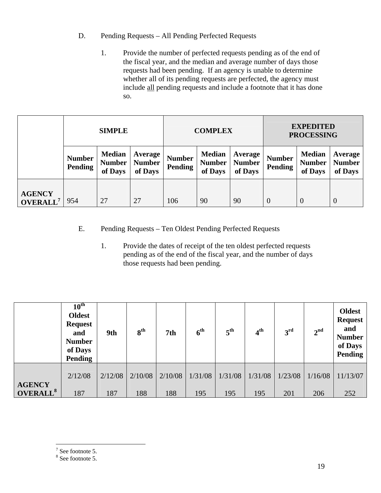- D. Pending Requests All Pending Perfected Requests
	- 1. Provide the number of perfected requests pending as of the end of the fiscal year, and the median and average number of days those requests had been pending. If an agency is unable to determine whether all of its pending requests are perfected, the agency must include all pending requests and include a footnote that it has done so.

|                                       | <b>SIMPLE</b>            |                                           |                                            |                          | <b>COMPLEX</b>                            |                                     | <b>EXPEDITED</b><br><b>PROCESSING</b> |                                           |                                     |  |
|---------------------------------------|--------------------------|-------------------------------------------|--------------------------------------------|--------------------------|-------------------------------------------|-------------------------------------|---------------------------------------|-------------------------------------------|-------------------------------------|--|
|                                       | <b>Number</b><br>Pending | <b>Median</b><br><b>Number</b><br>of Days | <b>Average</b><br><b>Number</b><br>of Days | <b>Number</b><br>Pending | <b>Median</b><br><b>Number</b><br>of Days | Average<br><b>Number</b><br>of Days | <b>Number</b><br>Pending              | <b>Median</b><br><b>Number</b><br>of Days | Average<br><b>Number</b><br>of Days |  |
| <b>AGENCY</b><br>OVERALL <sup>7</sup> | 954                      | 27                                        | 27                                         | 106                      | 90                                        | 90                                  | $\theta$                              | $\overline{0}$                            | $\overline{0}$                      |  |

- E. Pending Requests Ten Oldest Pending Perfected Requests
	- 1. Provide the dates of receipt of the ten oldest perfected requests pending as of the end of the fiscal year, and the number of days those requests had been pending.

|                      | $10^{\text{th}}$<br><b>Oldest</b><br><b>Request</b><br>and<br><b>Number</b><br>of Days<br>Pending | 9th     | 8 <sup>th</sup> | 7th     | 6 <sup>th</sup> | $5^{\text{th}}$ | 4 <sup>th</sup> | 3 <sup>rd</sup> | 2 <sup>nd</sup> | <b>Oldest</b><br><b>Request</b><br>and<br><b>Number</b><br>of Days<br>Pending |
|----------------------|---------------------------------------------------------------------------------------------------|---------|-----------------|---------|-----------------|-----------------|-----------------|-----------------|-----------------|-------------------------------------------------------------------------------|
| <b>AGENCY</b>        | 2/12/08                                                                                           | 2/12/08 | 2/10/08         | 2/10/08 | 1/31/08         | 1/31/08         | 1/31/08         | 1/23/08         | 1/16/08         | 11/13/07                                                                      |
| OVERALL <sup>8</sup> | 187                                                                                               | 187     | 188             | 188     | 195             | 195             | 195             | 201             | 206             | 252                                                                           |

# $\frac{1}{7}$  See footnote 5.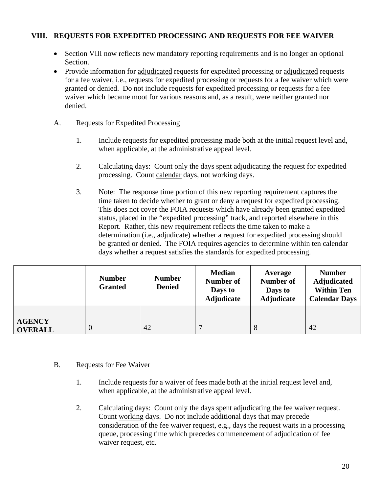#### **VIII. REQUESTS FOR EXPEDITED PROCESSING AND REQUESTS FOR FEE WAIVER**

- Section VIII now reflects new mandatory reporting requirements and is no longer an optional Section.
- Provide information for adjudicated requests for expedited processing or adjudicated requests for a fee waiver, i.e., requests for expedited processing or requests for a fee waiver which were granted or denied. Do not include requests for expedited processing or requests for a fee waiver which became moot for various reasons and, as a result, were neither granted nor denied.
- A. Requests for Expedited Processing
	- 1. Include requests for expedited processing made both at the initial request level and, when applicable, at the administrative appeal level.
	- 2. Calculating days: Count only the days spent adjudicating the request for expedited processing. Count calendar days, not working days.
	- 3. Note: The response time portion of this new reporting requirement captures the time taken to decide whether to grant or deny a request for expedited processing. This does not cover the FOIA requests which have already been granted expedited status, placed in the "expedited processing" track, and reported elsewhere in this Report. Rather, this new requirement reflects the time taken to make a determination (i.e., adjudicate) whether a request for expedited processing should be granted or denied. The FOIA requires agencies to determine within ten calendar days whether a request satisfies the standards for expedited processing.

|                                 | <b>Number</b><br><b>Granted</b> | <b>Number</b><br><b>Denied</b> | <b>Median</b><br>Number of<br>Days to<br>Adjudicate | Average<br>Number of<br>Days to<br>Adjudicate | <b>Number</b><br><b>Adjudicated</b><br><b>Within Ten</b><br><b>Calendar Days</b> |
|---------------------------------|---------------------------------|--------------------------------|-----------------------------------------------------|-----------------------------------------------|----------------------------------------------------------------------------------|
| <b>AGENCY</b><br><b>OVERALL</b> | $\theta$                        | 42                             |                                                     | 8                                             | 42                                                                               |

#### B. Requests for Fee Waiver

- 1. Include requests for a waiver of fees made both at the initial request level and, when applicable, at the administrative appeal level.
- 2. Calculating days: Count only the days spent adjudicating the fee waiver request. Count working days. Do not include additional days that may precede consideration of the fee waiver request, e.g., days the request waits in a processing queue, processing time which precedes commencement of adjudication of fee waiver request, etc.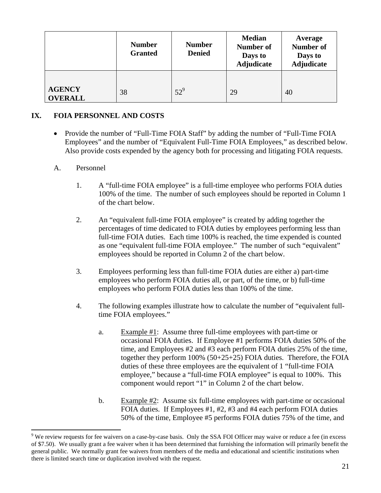|                                 | <b>Number</b><br><b>Granted</b> | <b>Number</b><br><b>Denied</b> | <b>Median</b><br><b>Number of</b><br>Days to<br><b>Adjudicate</b> | <b>Average</b><br><b>Number of</b><br>Days to<br><b>Adjudicate</b> |
|---------------------------------|---------------------------------|--------------------------------|-------------------------------------------------------------------|--------------------------------------------------------------------|
| <b>AGENCY</b><br><b>OVERALL</b> | 38                              | $52^9$                         | 29                                                                | 40                                                                 |

#### **IX. FOIA PERSONNEL AND COSTS**

• Provide the number of "Full-Time FOIA Staff" by adding the number of "Full-Time FOIA Employees" and the number of "Equivalent Full-Time FOIA Employees," as described below. Also provide costs expended by the agency both for processing and litigating FOIA requests.

#### A. Personnel

 $\overline{a}$ 

- 1. A "full-time FOIA employee" is a full-time employee who performs FOIA duties 100% of the time. The number of such employees should be reported in Column 1 of the chart below.
- 2. An "equivalent full-time FOIA employee" is created by adding together the percentages of time dedicated to FOIA duties by employees performing less than full-time FOIA duties. Each time 100% is reached, the time expended is counted as one "equivalent full-time FOIA employee." The number of such "equivalent" employees should be reported in Column 2 of the chart below.
- 3. Employees performing less than full-time FOIA duties are either a) part-time employees who perform FOIA duties all, or part, of the time, or b) full-time employees who perform FOIA duties less than 100% of the time.
- 4. The following examples illustrate how to calculate the number of "equivalent fulltime FOIA employees."
	- a. Example  $#1$ : Assume three full-time employees with part-time or occasional FOIA duties. If Employee #1 performs FOIA duties 50% of the time, and Employees #2 and #3 each perform FOIA duties 25% of the time, together they perform 100% (50+25+25) FOIA duties. Therefore, the FOIA duties of these three employees are the equivalent of 1 "full-time FOIA employee," because a "full-time FOIA employee" is equal to 100%. This component would report "1" in Column 2 of the chart below.
	- b. Example #2: Assume six full-time employees with part-time or occasional FOIA duties. If Employees #1, #2, #3 and #4 each perform FOIA duties 50% of the time, Employee #5 performs FOIA duties 75% of the time, and

 $9$  We review requests for fee waivers on a case-by-case basis. Only the SSA FOI Officer may waive or reduce a fee (in excess of \$7.50). We usually grant a fee waiver when it has been determined that furnishing the information will primarily benefit the general public. We normally grant fee waivers from members of the media and educational and scientific institutions when there is limited search time or duplication involved with the request.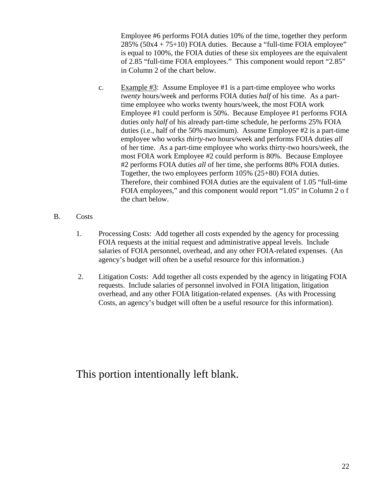Employee #6 performs FOIA duties 10% of the time, together they perform 285% (50x4 + 75+10) FOIA duties. Because a "full-time FOIA employee" is equal to 100%, the FOIA duties of these six employees are the equivalent of 2.85 "full-time FOIA employees." This component would report "2.85" in Column 2 of the chart below.

- c. Example #3: Assume Employee #1 is a part-time employee who works *twenty* hours/week and performs FOIA duties *half* of his time. As a parttime employee who works twenty hours/week, the most FOIA work Employee #1 could perform is 50%. Because Employee #1 performs FOIA duties only *half* of his already part-time schedule, he performs 25% FOIA duties (i.e., half of the 50% maximum). Assume Employee #2 is a part-time employee who works *thirty-two* hours/week and performs FOIA duties *all* of her time. As a part-time employee who works thirty-two hours/week, the most FOIA work Employee #2 could perform is 80%. Because Employee #2 performs FOIA duties *all* of her time, she performs 80% FOIA duties. Together, the two employees perform 105% (25+80) FOIA duties. Therefore, their combined FOIA duties are the equivalent of 1.05 "full-time FOIA employees," and this component would report "1.05" in Column 2 o f the chart below.
- B. Costs
	- 1. Processing Costs: Add together all costs expended by the agency for processing FOIA requests at the initial request and administrative appeal levels. Include salaries of FOIA personnel, overhead, and any other FOIA-related expenses. (An agency's budget will often be a useful resource for this information.)
	- 2. Litigation Costs: Add together all costs expended by the agency in litigating FOIA requests. Include salaries of personnel involved in FOIA litigation, litigation overhead, and any other FOIA litigation-related expenses. (As with Processing Costs, an agency's budget will often be a useful resource for this information).

## This portion intentionally left blank.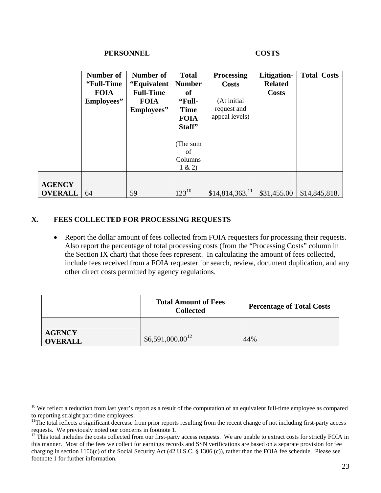#### **PERSONNEL COSTS**

|                | Number of   | <b>Number of</b> | <b>Total</b>  | <b>Processing</b>           | Litigation-    | <b>Total Costs</b> |
|----------------|-------------|------------------|---------------|-----------------------------|----------------|--------------------|
|                | "Full-Time" | "Equivalent      | <b>Number</b> | <b>Costs</b>                | <b>Related</b> |                    |
|                | <b>FOIA</b> | <b>Full-Time</b> | of            |                             | <b>Costs</b>   |                    |
|                | Employees"  | <b>FOIA</b>      | "Full-        | (At initial                 |                |                    |
|                |             | Employees"       | <b>Time</b>   | request and                 |                |                    |
|                |             |                  | <b>FOIA</b>   | appeal levels)              |                |                    |
|                |             |                  | Staff"        |                             |                |                    |
|                |             |                  |               |                             |                |                    |
|                |             |                  | (The sum      |                             |                |                    |
|                |             |                  | of            |                             |                |                    |
|                |             |                  | Columns       |                             |                |                    |
|                |             |                  | 1 & 2)        |                             |                |                    |
|                |             |                  |               |                             |                |                    |
| <b>AGENCY</b>  |             |                  |               |                             |                |                    |
| <b>OVERALL</b> | 64          | 59               | $123^{10}$    | $$14,814,363$ <sup>11</sup> | \$31,455.00    | \$14,845,818.      |

#### **X. FEES COLLECTED FOR PROCESSING REQUESTS**

 $\overline{a}$ 

• Report the dollar amount of fees collected from FOIA requesters for processing their requests. Also report the percentage of total processing costs (from the "Processing Costs" column in the Section IX chart) that those fees represent. In calculating the amount of fees collected, include fees received from a FOIA requester for search, review, document duplication, and any other direct costs permitted by agency regulations.

|                                 | <b>Total Amount of Fees</b><br><b>Collected</b> | <b>Percentage of Total Costs</b> |
|---------------------------------|-------------------------------------------------|----------------------------------|
| <b>AGENCY</b><br><b>OVERALL</b> | $$6,591,000.00^{12}$                            | 44%                              |

<sup>&</sup>lt;sup>10</sup> We reflect a reduction from last year's report as a result of the computation of an equivalent full-time employee as compared to reporting straight part-time employees.

<sup>&</sup>lt;sup>11</sup>The total reflects a significant decrease from prior reports resulting from the recent change of not including first-party access requests. We previously noted our concerns in footnote 1.

 $12$ <sup>12</sup> This total includes the costs collected from our first-party access requests. We are unable to extract costs for strictly FOIA in this manner. Most of the fees we collect for earnings records and SSN verifications are based on a separate provision for fee charging in section 1106(c) of the Social Security Act (42 U.S.C. § 1306 (c)), rather than the FOIA fee schedule. Please see footnote 1 for further information.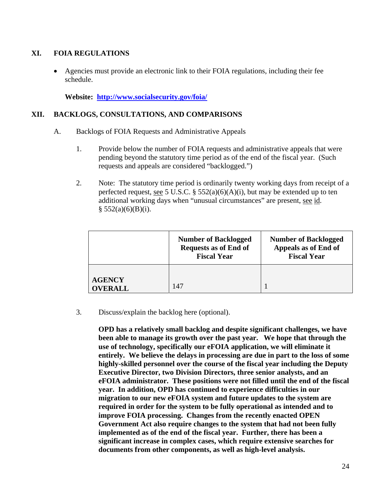#### **XI. FOIA REGULATIONS**

• Agencies must provide an electronic link to their FOIA regulations, including their fee schedule.

**Website: http://www.socialsecurity.gov/foia/**

#### **XII. BACKLOGS, CONSULTATIONS, AND COMPARISONS**

- A. Backlogs of FOIA Requests and Administrative Appeals
	- 1. Provide below the number of FOIA requests and administrative appeals that were pending beyond the statutory time period as of the end of the fiscal year. (Such requests and appeals are considered "backlogged.")
	- 2. Note: The statutory time period is ordinarily twenty working days from receipt of a perfected request, <u>see</u> 5 U.S.C. § 552(a)(6)(A)(i), but may be extended up to ten additional working days when "unusual circumstances" are present, see id.  $§ 552(a)(6)(B)(i).$

|                                 | <b>Number of Backlogged</b><br><b>Requests as of End of</b><br><b>Fiscal Year</b> | <b>Number of Backlogged</b><br>Appeals as of End of<br><b>Fiscal Year</b> |
|---------------------------------|-----------------------------------------------------------------------------------|---------------------------------------------------------------------------|
| <b>AGENCY</b><br><b>OVERALL</b> | 147                                                                               |                                                                           |

3. Discuss/explain the backlog here (optional).

**OPD has a relatively small backlog and despite significant challenges, we have been able to manage its growth over the past year. We hope that through the use of technology, specifically our eFOIA application, we will eliminate it entirely. We believe the delays in processing are due in part to the loss of some highly-skilled personnel over the course of the fiscal year including the Deputy Executive Director, two Division Directors, three senior analysts, and an eFOIA administrator. These positions were not filled until the end of the fiscal year. In addition, OPD has continued to experience difficulties in our migration to our new eFOIA system and future updates to the system are required in order for the system to be fully operational as intended and to improve FOIA processing. Changes from the recently enacted OPEN Government Act also require changes to the system that had not been fully implemented as of the end of the fiscal year. Further, there has been a significant increase in complex cases, which require extensive searches for documents from other components, as well as high-level analysis.**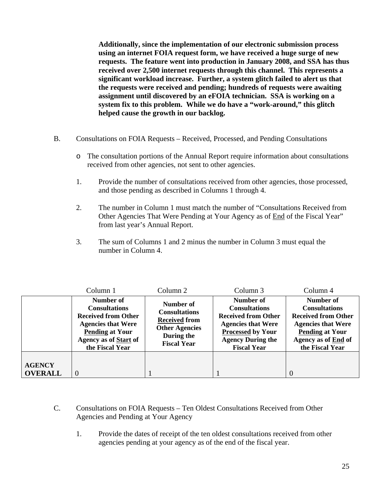**Additionally, since the implementation of our electronic submission process using an internet FOIA request form, we have received a huge surge of new requests. The feature went into production in January 2008, and SSA has thus received over 2,500 internet requests through this channel. This represents a significant workload increase. Further, a system glitch failed to alert us that the requests were received and pending; hundreds of requests were awaiting assignment until discovered by an eFOIA technician. SSA is working on a system fix to this problem. While we do have a "work-around," this glitch helped cause the growth in our backlog.** 

- B. Consultations on FOIA Requests Received, Processed, and Pending Consultations
	- o The consultation portions of the Annual Report require information about consultations received from other agencies, not sent to other agencies.
	- 1. Provide the number of consultations received from other agencies, those processed, and those pending as described in Columns 1 through 4.
	- 2. The number in Column 1 must match the number of "Consultations Received from Other Agencies That Were Pending at Your Agency as of End of the Fiscal Year" from last year's Annual Report.
	- 3. The sum of Columns 1 and 2 minus the number in Column 3 must equal the number in Column 4.

|                                 | Column 1                                                                                                                                                           | Column 2                                                                                                               | Column 3                                                                                                                                                                   | Column 4                                                                                                                                                                |
|---------------------------------|--------------------------------------------------------------------------------------------------------------------------------------------------------------------|------------------------------------------------------------------------------------------------------------------------|----------------------------------------------------------------------------------------------------------------------------------------------------------------------------|-------------------------------------------------------------------------------------------------------------------------------------------------------------------------|
|                                 | Number of<br><b>Consultations</b><br><b>Received from Other</b><br><b>Agencies that Were</b><br><b>Pending at Your</b><br>Agency as of Start of<br>the Fiscal Year | Number of<br><b>Consultations</b><br><b>Received from</b><br><b>Other Agencies</b><br>During the<br><b>Fiscal Year</b> | Number of<br><b>Consultations</b><br><b>Received from Other</b><br><b>Agencies that Were</b><br><b>Processed by Your</b><br><b>Agency During the</b><br><b>Fiscal Year</b> | Number of<br><b>Consultations</b><br><b>Received from Other</b><br><b>Agencies that Were</b><br><b>Pending at Your</b><br><b>Agency as of End of</b><br>the Fiscal Year |
| <b>AGENCY</b><br><b>OVERALL</b> | $\overline{0}$                                                                                                                                                     |                                                                                                                        |                                                                                                                                                                            |                                                                                                                                                                         |

- C. Consultations on FOIA Requests Ten Oldest Consultations Received from Other Agencies and Pending at Your Agency
	- 1. Provide the dates of receipt of the ten oldest consultations received from other agencies pending at your agency as of the end of the fiscal year.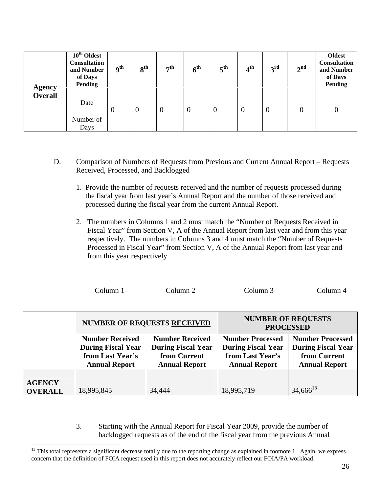|                                 | $10^{\text{th}}$ Oldest<br><b>Consultation</b><br>and Number<br>of Days<br><b>Pending</b> | <b>9th</b> | 8 <sup>th</sup> | 7 <sup>th</sup> | 6 <sup>th</sup> | $5^{\text{th}}$ | 4 <sup>th</sup> | 3 <sup>rd</sup> | 2 <sup>nd</sup> | <b>Oldest</b><br><b>Consultation</b><br>and Number<br>of Days<br><b>Pending</b> |
|---------------------------------|-------------------------------------------------------------------------------------------|------------|-----------------|-----------------|-----------------|-----------------|-----------------|-----------------|-----------------|---------------------------------------------------------------------------------|
| <b>Agency</b><br><b>Overall</b> | Date<br>Number of<br>Days                                                                 | $\theta$   | $\overline{0}$  | $\overline{0}$  | $\overline{0}$  | $\theta$        | $\theta$        | $\overline{0}$  | $\overline{0}$  | $\overline{0}$                                                                  |

- D. Comparison of Numbers of Requests from Previous and Current Annual Report Requests Received, Processed, and Backlogged
	- 1. Provide the number of requests received and the number of requests processed during the fiscal year from last year's Annual Report and the number of those received and processed during the fiscal year from the current Annual Report.
	- 2. The numbers in Columns 1 and 2 must match the "Number of Requests Received in Fiscal Year" from Section V, A of the Annual Report from last year and from this year respectively. The numbers in Columns 3 and 4 must match the "Number of Requests Processed in Fiscal Year" from Section V, A of the Annual Report from last year and from this year respectively.

|  |  | Column 1 | Column 2 | Column 3 | Column 4 |
|--|--|----------|----------|----------|----------|
|--|--|----------|----------|----------|----------|

|                |                           | <b>NUMBER OF REQUESTS RECEIVED</b> | <b>NUMBER OF REQUESTS</b><br><b>PROCESSED</b> |                           |  |
|----------------|---------------------------|------------------------------------|-----------------------------------------------|---------------------------|--|
|                | <b>Number Received</b>    | <b>Number Received</b>             | <b>Number Processed</b>                       | <b>Number Processed</b>   |  |
|                | <b>During Fiscal Year</b> | <b>During Fiscal Year</b>          | <b>During Fiscal Year</b>                     | <b>During Fiscal Year</b> |  |
|                | from Last Year's          | from Current                       | from Last Year's                              | from Current              |  |
|                | <b>Annual Report</b>      | <b>Annual Report</b>               | <b>Annual Report</b>                          | <b>Annual Report</b>      |  |
|                |                           |                                    |                                               |                           |  |
| <b>AGENCY</b>  |                           |                                    |                                               |                           |  |
| <b>OVERALL</b> | 18,995,845                | 34,444                             | 18,995,719                                    | $34,666^{13}$             |  |

3. Starting with the Annual Report for Fiscal Year 2009, provide the number of backlogged requests as of the end of the fiscal year from the previous Annual

 $\overline{a}$ 

 $13$  This total represents a significant decrease totally due to the reporting change as explained in footnote 1. Again, we express concern that the definition of FOIA request used in this report does not accurately reflect our FOIA/PA workload.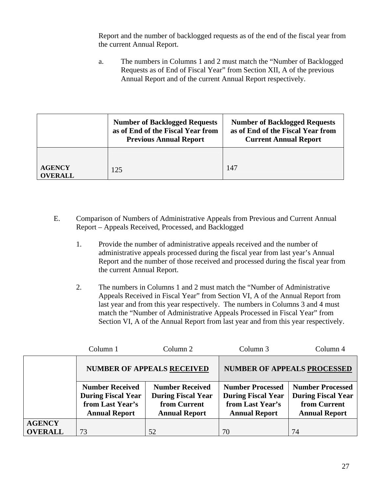Report and the number of backlogged requests as of the end of the fiscal year from the current Annual Report.

a. The numbers in Columns 1 and 2 must match the "Number of Backlogged Requests as of End of Fiscal Year" from Section XII, A of the previous Annual Report and of the current Annual Report respectively.

|                                 | <b>Number of Backlogged Requests</b><br>as of End of the Fiscal Year from<br><b>Previous Annual Report</b> | <b>Number of Backlogged Requests</b><br>as of End of the Fiscal Year from<br><b>Current Annual Report</b> |
|---------------------------------|------------------------------------------------------------------------------------------------------------|-----------------------------------------------------------------------------------------------------------|
| <b>AGENCY</b><br><b>OVERALL</b> | 125                                                                                                        | 147                                                                                                       |

- E. Comparison of Numbers of Administrative Appeals from Previous and Current Annual Report – Appeals Received, Processed, and Backlogged
	- 1. Provide the number of administrative appeals received and the number of administrative appeals processed during the fiscal year from last year's Annual Report and the number of those received and processed during the fiscal year from the current Annual Report.
	- 2. The numbers in Columns 1 and 2 must match the "Number of Administrative Appeals Received in Fiscal Year" from Section VI, A of the Annual Report from last year and from this year respectively. The numbers in Columns 3 and 4 must match the "Number of Administrative Appeals Processed in Fiscal Year" from Section VI, A of the Annual Report from last year and from this year respectively.

|                | Column 1                                                                                        | Column <sub>2</sub>                                                                         | Column 3                                                                                         | Column 4                                                                                     |
|----------------|-------------------------------------------------------------------------------------------------|---------------------------------------------------------------------------------------------|--------------------------------------------------------------------------------------------------|----------------------------------------------------------------------------------------------|
|                |                                                                                                 | <b>NUMBER OF APPEALS RECEIVED</b>                                                           | <b>NUMBER OF APPEALS PROCESSED</b>                                                               |                                                                                              |
|                | <b>Number Received</b><br><b>During Fiscal Year</b><br>from Last Year's<br><b>Annual Report</b> | <b>Number Received</b><br><b>During Fiscal Year</b><br>from Current<br><b>Annual Report</b> | <b>Number Processed</b><br><b>During Fiscal Year</b><br>from Last Year's<br><b>Annual Report</b> | <b>Number Processed</b><br><b>During Fiscal Year</b><br>from Current<br><b>Annual Report</b> |
| <b>AGENCY</b>  |                                                                                                 |                                                                                             |                                                                                                  |                                                                                              |
| <b>OVERALL</b> | 73                                                                                              | 52                                                                                          | 70                                                                                               | 74                                                                                           |